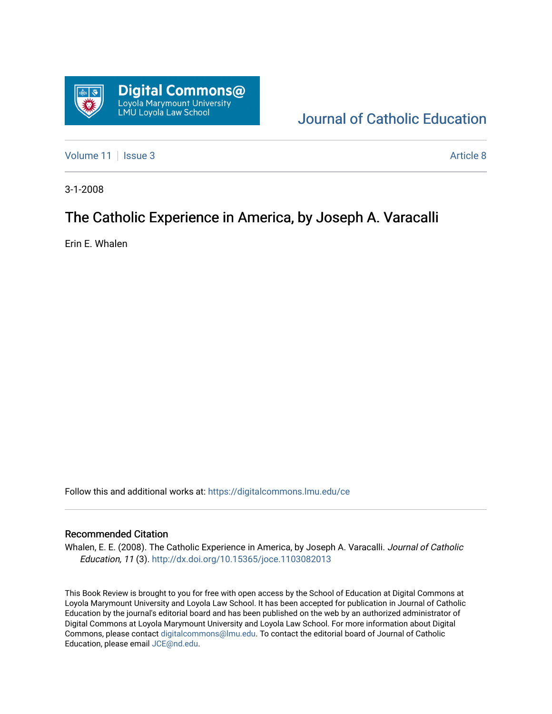

# [Journal of Catholic Education](https://digitalcommons.lmu.edu/ce)

[Volume 11](https://digitalcommons.lmu.edu/ce/vol11) | [Issue 3](https://digitalcommons.lmu.edu/ce/vol11/iss3) Article 8

3-1-2008

## The Catholic Experience in America, by Joseph A. Varacalli

Erin E. Whalen

Follow this and additional works at: [https://digitalcommons.lmu.edu/ce](https://digitalcommons.lmu.edu/ce?utm_source=digitalcommons.lmu.edu%2Fce%2Fvol11%2Fiss3%2F8&utm_medium=PDF&utm_campaign=PDFCoverPages)

#### Recommended Citation

Whalen, E. E. (2008). The Catholic Experience in America, by Joseph A. Varacalli. Journal of Catholic Education, 11 (3). <http://dx.doi.org/10.15365/joce.1103082013>

This Book Review is brought to you for free with open access by the School of Education at Digital Commons at Loyola Marymount University and Loyola Law School. It has been accepted for publication in Journal of Catholic Education by the journal's editorial board and has been published on the web by an authorized administrator of Digital Commons at Loyola Marymount University and Loyola Law School. For more information about Digital Commons, please contact [digitalcommons@lmu.edu.](mailto:digitalcommons@lmu.edu) To contact the editorial board of Journal of Catholic Education, please email [JCE@nd.edu.](mailto:JCE@nd.edu)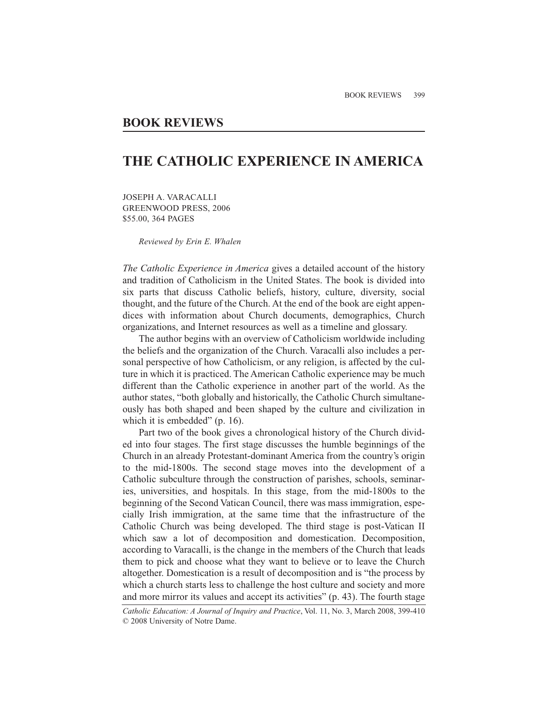### **BOOK REVIEWS**

### **THE CATHOLIC EXPERIENCE IN AMERICA**

JOSEPH A. VARACALLI GREENWOOD PRESS, 2006 \$55.00, 364 PAGES

*Reviewed by Erin E. Whalen*

*The Catholic Experience in America* gives a detailed account of the history and tradition of Catholicism in the United States. The book is divided into six parts that discuss Catholic beliefs, history, culture, diversity, social thought, and the future of the Church. At the end of the book are eight appendices with information about Church documents, demographics, Church organizations, and Internet resources as well as a timeline and glossary.

The author begins with an overview of Catholicism worldwide including the beliefs and the organization of the Church. Varacalli also includes a personal perspective of how Catholicism, or any religion, is affected by the culture in which it is practiced. The American Catholic experience may be much different than the Catholic experience in another part of the world. As the author states, "both globally and historically, the Catholic Church simultaneously has both shaped and been shaped by the culture and civilization in which it is embedded" (p. 16).

Part two of the book gives a chronological history of the Church divided into four stages. The first stage discusses the humble beginnings of the Church in an already Protestant-dominant America from the country's origin to the mid-1800s. The second stage moves into the development of a Catholic subculture through the construction of parishes, schools, seminaries, universities, and hospitals. In this stage, from the mid-1800s to the beginning of the Second Vatican Council, there was mass immigration, especially Irish immigration, at the same time that the infrastructure of the Catholic Church was being developed. The third stage is post-Vatican II which saw a lot of decomposition and domestication. Decomposition, according to Varacalli, is the change in the members of the Church that leads them to pick and choose what they want to believe or to leave the Church altogether. Domestication is a result of decomposition and is "the process by which a church starts less to challenge the host culture and society and more and more mirror its values and accept its activities" (p. 43). The fourth stage

*Catholic Education: A Journal of Inquiry and Practice*, Vol. 11, No. 3, March 2008, 399-410 © 2008 University of Notre Dame.